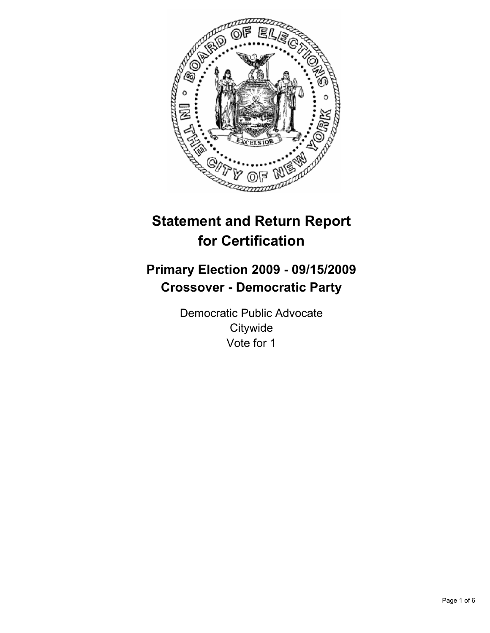

# **Statement and Return Report for Certification**

## **Primary Election 2009 - 09/15/2009 Crossover - Democratic Party**

Democratic Public Advocate **Citywide** Vote for 1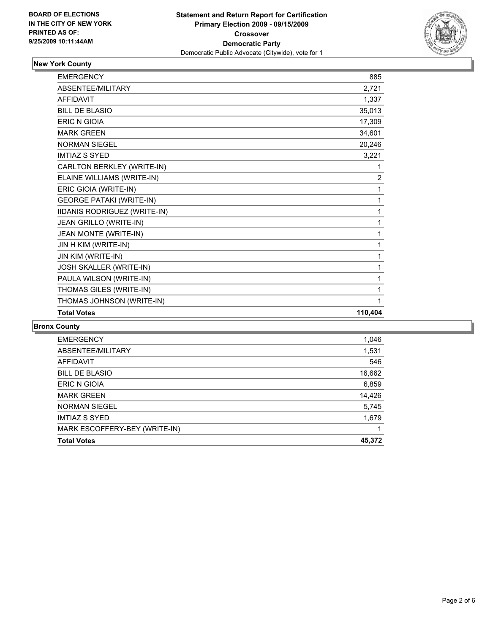

## **New York County**

| <b>EMERGENCY</b>                | 885            |
|---------------------------------|----------------|
| <b>ABSENTEE/MILITARY</b>        | 2,721          |
| <b>AFFIDAVIT</b>                | 1,337          |
| <b>BILL DE BLASIO</b>           | 35,013         |
| ERIC N GIOIA                    | 17,309         |
| <b>MARK GREEN</b>               | 34,601         |
| <b>NORMAN SIEGEL</b>            | 20,246         |
| <b>IMTIAZ S SYED</b>            | 3,221          |
| CARLTON BERKLEY (WRITE-IN)      | 1              |
| ELAINE WILLIAMS (WRITE-IN)      | $\overline{2}$ |
| ERIC GIOIA (WRITE-IN)           | 1              |
| <b>GEORGE PATAKI (WRITE-IN)</b> | 1              |
| IIDANIS RODRIGUEZ (WRITE-IN)    | 1              |
| JEAN GRILLO (WRITE-IN)          | 1              |
| JEAN MONTE (WRITE-IN)           | 1              |
| JIN H KIM (WRITE-IN)            | 1              |
| JIN KIM (WRITE-IN)              | 1              |
| JOSH SKALLER (WRITE-IN)         | 1              |
| PAULA WILSON (WRITE-IN)         | 1              |
| THOMAS GILES (WRITE-IN)         | 1              |
| THOMAS JOHNSON (WRITE-IN)       | 1              |
| <b>Total Votes</b>              | 110,404        |

#### **Bronx County**

| 45,372 |
|--------|
|        |
|        |
| 1,679  |
| 5,745  |
| 14,426 |
| 6,859  |
| 16,662 |
| 546    |
| 1,531  |
| 1,046  |
|        |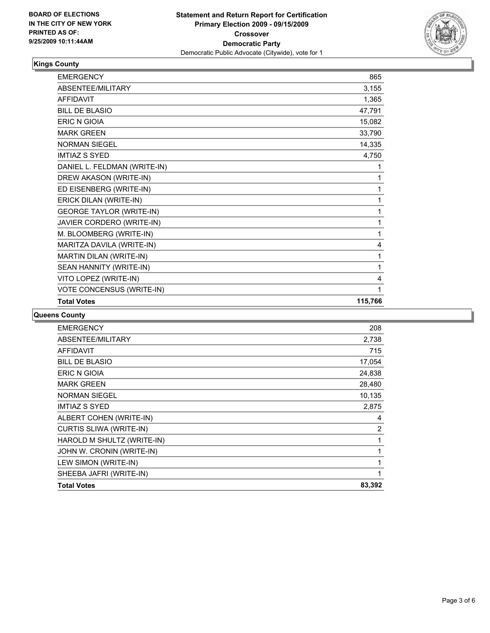

### **Kings County**

| <b>EMERGENCY</b>                | 865     |
|---------------------------------|---------|
| ABSENTEE/MILITARY               | 3,155   |
| <b>AFFIDAVIT</b>                | 1,365   |
| <b>BILL DE BLASIO</b>           | 47,791  |
| <b>ERIC N GIOIA</b>             | 15,082  |
| <b>MARK GREEN</b>               | 33,790  |
| <b>NORMAN SIEGEL</b>            | 14,335  |
| <b>IMTIAZ S SYED</b>            | 4,750   |
| DANIEL L. FELDMAN (WRITE-IN)    | 1       |
| DREW AKASON (WRITE-IN)          | 1       |
| ED EISENBERG (WRITE-IN)         | 1       |
| ERICK DILAN (WRITE-IN)          | 1       |
| <b>GEORGE TAYLOR (WRITE-IN)</b> | 1       |
| JAVIER CORDERO (WRITE-IN)       | 1       |
| M. BLOOMBERG (WRITE-IN)         | 1       |
| MARITZA DAVILA (WRITE-IN)       | 4       |
| MARTIN DILAN (WRITE-IN)         | 1       |
| SEAN HANNITY (WRITE-IN)         | 1       |
| VITO LOPEZ (WRITE-IN)           | 4       |
| VOTE CONCENSUS (WRITE-IN)       | 1       |
| <b>Total Votes</b>              | 115,766 |

#### **Queens County**

| <b>EMERGENCY</b>               | 208            |
|--------------------------------|----------------|
| ABSENTEE/MILITARY              | 2,738          |
| <b>AFFIDAVIT</b>               | 715            |
| <b>BILL DE BLASIO</b>          | 17,054         |
| <b>ERIC N GIOIA</b>            | 24,838         |
| <b>MARK GREEN</b>              | 28,480         |
| <b>NORMAN SIEGEL</b>           | 10,135         |
| IMTIAZ S SYED                  | 2,875          |
| ALBERT COHEN (WRITE-IN)        | 4              |
| <b>CURTIS SLIWA (WRITE-IN)</b> | $\overline{c}$ |
| HAROLD M SHULTZ (WRITE-IN)     | 1              |
| JOHN W. CRONIN (WRITE-IN)      | 1              |
| LEW SIMON (WRITE-IN)           | $\mathbf{1}$   |
| SHEEBA JAFRI (WRITE-IN)        | 1              |
| <b>Total Votes</b>             | 83,392         |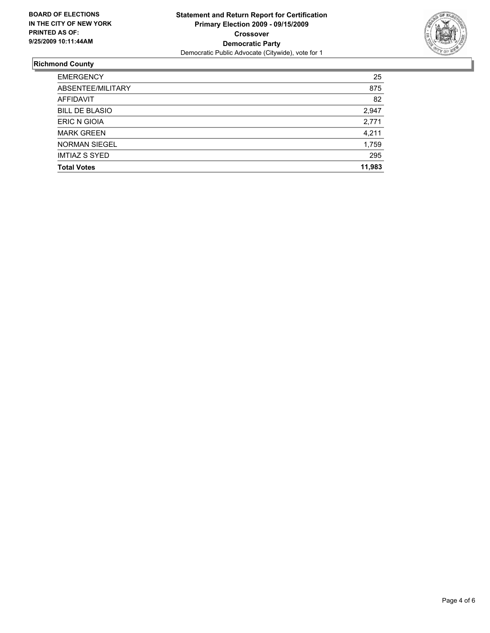

## **Richmond County**

| <b>EMERGENCY</b>      | 25     |
|-----------------------|--------|
| ABSENTEE/MILITARY     | 875    |
| <b>AFFIDAVIT</b>      | 82     |
| <b>BILL DE BLASIO</b> | 2,947  |
| <b>ERIC N GIOIA</b>   | 2,771  |
| <b>MARK GREEN</b>     | 4,211  |
| <b>NORMAN SIEGEL</b>  | 1,759  |
| <b>IMTIAZ S SYED</b>  | 295    |
| <b>Total Votes</b>    | 11,983 |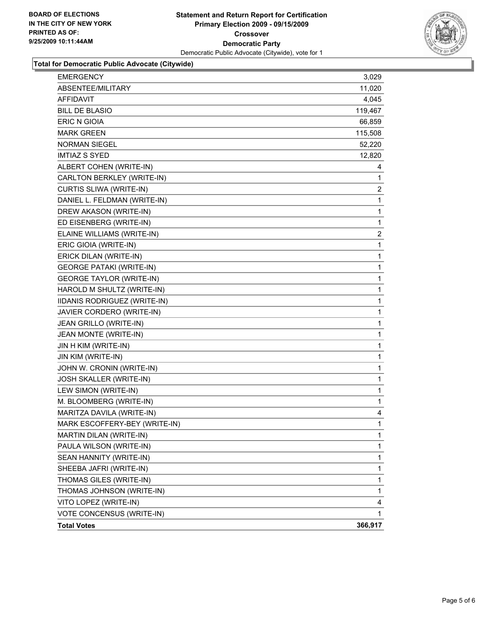

#### **Total for Democratic Public Advocate (Citywide)**

| <b>EMERGENCY</b>                | 3,029        |
|---------------------------------|--------------|
| ABSENTEE/MILITARY               | 11,020       |
| AFFIDAVIT                       | 4,045        |
| <b>BILL DE BLASIO</b>           | 119,467      |
| <b>ERIC N GIOIA</b>             | 66,859       |
| <b>MARK GREEN</b>               | 115,508      |
| NORMAN SIEGEL                   | 52,220       |
| <b>IMTIAZ S SYED</b>            | 12,820       |
| ALBERT COHEN (WRITE-IN)         | 4            |
| CARLTON BERKLEY (WRITE-IN)      | 1            |
| CURTIS SLIWA (WRITE-IN)         | 2            |
| DANIEL L. FELDMAN (WRITE-IN)    | 1            |
| DREW AKASON (WRITE-IN)          | 1            |
| ED EISENBERG (WRITE-IN)         | 1            |
| ELAINE WILLIAMS (WRITE-IN)      | 2            |
| ERIC GIOIA (WRITE-IN)           | 1            |
| ERICK DILAN (WRITE-IN)          | 1            |
| <b>GEORGE PATAKI (WRITE-IN)</b> | 1            |
| <b>GEORGE TAYLOR (WRITE-IN)</b> | 1            |
| HAROLD M SHULTZ (WRITE-IN)      | 1            |
| IIDANIS RODRIGUEZ (WRITE-IN)    | 1            |
| JAVIER CORDERO (WRITE-IN)       | 1            |
| JEAN GRILLO (WRITE-IN)          | 1            |
| JEAN MONTE (WRITE-IN)           | 1            |
| JIN H KIM (WRITE-IN)            | 1            |
| JIN KIM (WRITE-IN)              | 1            |
| JOHN W. CRONIN (WRITE-IN)       | 1            |
| JOSH SKALLER (WRITE-IN)         | 1            |
| LEW SIMON (WRITE-IN)            | 1            |
| M. BLOOMBERG (WRITE-IN)         | 1            |
| MARITZA DAVILA (WRITE-IN)       | 4            |
| MARK ESCOFFERY-BEY (WRITE-IN)   | $\mathbf{1}$ |
| MARTIN DILAN (WRITE-IN)         | 1            |
| PAULA WILSON (WRITE-IN)         | 1            |
| SEAN HANNITY (WRITE-IN)         | 1            |
| SHEEBA JAFRI (WRITE-IN)         | 1            |
| THOMAS GILES (WRITE-IN)         | 1            |
| THOMAS JOHNSON (WRITE-IN)       | 1            |
| VITO LOPEZ (WRITE-IN)           | 4            |
| VOTE CONCENSUS (WRITE-IN)       | 1            |
| <b>Total Votes</b>              | 366,917      |